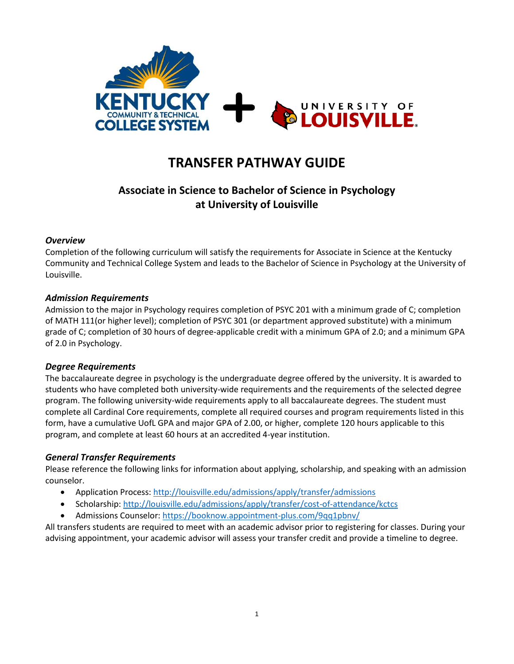

# **TRANSFER PATHWAY GUIDE**

## **Associate in Science to Bachelor of Science in Psychology at University of Louisville**

## *Overview*

Completion of the following curriculum will satisfy the requirements for Associate in Science at the Kentucky Community and Technical College System and leads to the Bachelor of Science in Psychology at the University of Louisville.

### *Admission Requirements*

Admission to the major in Psychology requires completion of PSYC 201 with a minimum grade of C; completion of MATH 111(or higher level); completion of PSYC 301 (or department approved substitute) with a minimum grade of C; completion of 30 hours of degree-applicable credit with a minimum GPA of 2.0; and a minimum GPA of 2.0 in Psychology.

#### *Degree Requirements*

The baccalaureate degree in psychology is the undergraduate degree offered by the university. It is awarded to students who have completed both university-wide requirements and the requirements of the selected degree program. The following university-wide requirements apply to all baccalaureate degrees. The student must complete all Cardinal Core requirements, complete all required courses and program requirements listed in this form, have a cumulative UofL GPA and major GPA of 2.00, or higher, complete 120 hours applicable to this program, and complete at least 60 hours at an accredited 4-year institution.

#### *General Transfer Requirements*

Please reference the following links for information about applying, scholarship, and speaking with an admission counselor.

- Application Process: http://louisville.edu/admissions/apply/transfer/admissions
- Scholarship[: http://louisville.edu/admissions/apply/transfer/cost-of-attendance/kctcs](http://louisville.edu/admissions/apply/transfer/cost-of-attendance/kctcs)
- Admissions Counselor[: https://booknow.appointment-plus.com/9qq1pbnv/](https://booknow.appointment-plus.com/9qq1pbnv/)

All transfers students are required to meet with an academic advisor prior to registering for classes. During your advising appointment, your academic advisor will assess your transfer credit and provide a timeline to degree.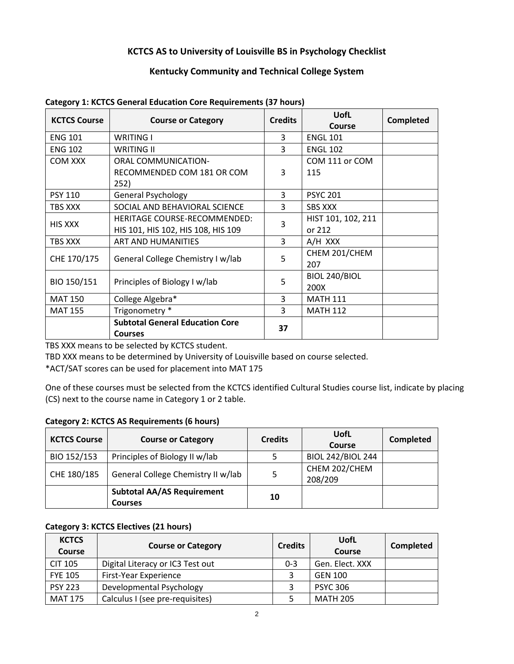## **KCTCS AS to University of Louisville BS in Psychology Checklist**

## **Kentucky Community and Technical College System**

| <b>KCTCS Course</b> | <b>Course or Category</b>              | UofL<br><b>Credits</b><br><b>Course</b> |                    | <b>Completed</b> |
|---------------------|----------------------------------------|-----------------------------------------|--------------------|------------------|
| <b>ENG 101</b>      | <b>WRITING I</b>                       | 3                                       | <b>ENGL 101</b>    |                  |
| <b>ENG 102</b>      | <b>WRITING II</b>                      | 3                                       | <b>ENGL 102</b>    |                  |
| COM XXX             | <b>ORAL COMMUNICATION-</b>             |                                         | COM 111 or COM     |                  |
|                     | RECOMMENDED COM 181 OR COM<br>252)     | 3                                       | 115                |                  |
| <b>PSY 110</b>      | <b>General Psychology</b>              | 3                                       | <b>PSYC 201</b>    |                  |
| TBS XXX             | SOCIAL AND BEHAVIORAL SCIENCE          | 3                                       | <b>SBS XXX</b>     |                  |
| <b>HIS XXX</b>      | <b>HERITAGE COURSE-RECOMMENDED:</b>    | 3                                       | HIST 101, 102, 211 |                  |
|                     | HIS 101, HIS 102, HIS 108, HIS 109     |                                         | or 212             |                  |
| TBS XXX             | ART AND HUMANITIES                     | 3                                       | A/H XXX            |                  |
| CHE 170/175         | General College Chemistry I w/lab      | 5                                       | CHEM 201/CHEM      |                  |
|                     |                                        |                                         | 207                |                  |
| BIO 150/151         | Principles of Biology I w/lab          | 5                                       | BIOL 240/BIOL      |                  |
|                     |                                        |                                         | 200X               |                  |
| <b>MAT 150</b>      | College Algebra*                       | 3                                       | <b>MATH 111</b>    |                  |
| <b>MAT 155</b>      | Trigonometry *                         | 3                                       | <b>MATH 112</b>    |                  |
|                     | <b>Subtotal General Education Core</b> |                                         |                    |                  |
|                     | <b>Courses</b>                         | 37                                      |                    |                  |

**Category 1: KCTCS General Education Core Requirements (37 hours)**

TBS XXX means to be selected by KCTCS student.

TBD XXX means to be determined by University of Louisville based on course selected.

\*ACT/SAT scores can be used for placement into MAT 175

One of these courses must be selected from the KCTCS identified Cultural Studies course list, indicate by placing (CS) next to the course name in Category 1 or 2 table.

#### **Category 2: KCTCS AS Requirements (6 hours)**

| <b>KCTCS Course</b> | <b>Course or Category</b>                           | <b>Credits</b> | UofL<br><b>Course</b>    | <b>Completed</b> |
|---------------------|-----------------------------------------------------|----------------|--------------------------|------------------|
| BIO 152/153         | Principles of Biology II w/lab                      |                | <b>BIOL 242/BIOL 244</b> |                  |
| CHE 180/185         | General College Chemistry II w/lab                  | 5              | CHEM 202/CHEM<br>208/209 |                  |
|                     | <b>Subtotal AA/AS Requirement</b><br><b>Courses</b> | 10             |                          |                  |

## **Category 3: KCTCS Electives (21 hours)**

| <b>KCTCS</b><br>Course | <b>Course or Category</b>        | <b>Credits</b> | UofL<br><b>Course</b> | <b>Completed</b> |
|------------------------|----------------------------------|----------------|-----------------------|------------------|
| <b>CIT 105</b>         | Digital Literacy or IC3 Test out | $0 - 3$        | Gen. Elect. XXX       |                  |
| <b>FYE 105</b>         | <b>First-Year Experience</b>     |                | <b>GEN 100</b>        |                  |
| <b>PSY 223</b>         | Developmental Psychology         |                | <b>PSYC 306</b>       |                  |
| <b>MAT 175</b>         | Calculus I (see pre-requisites)  |                | <b>MATH 205</b>       |                  |